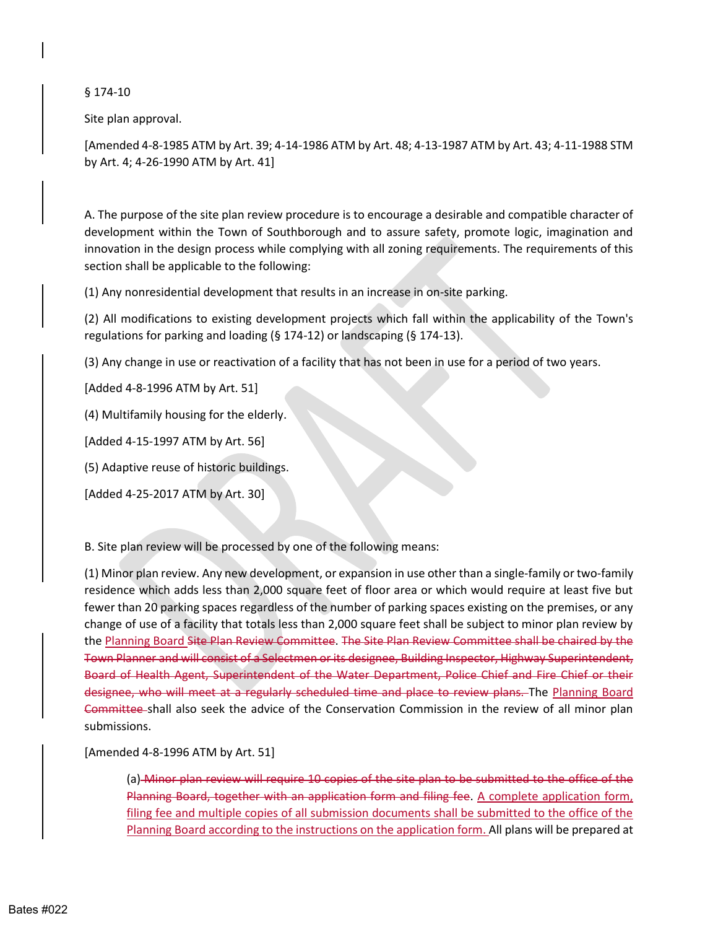§ 174-10

Site plan approval.

 [Amended 4-8-1985 ATM by Art. 39; 4-14-1986 ATM by Art. 48; 4-13-1987 ATM by Art. 43; 4-11-1988 STM by Art. 4; 4-26-1990 ATM by Art. 41]

 development within the Town of Southborough and to assure safety, promote logic, imagination and innovation in the design process while complying with all zoning requirements. The requirements of this A. The purpose of the site plan review procedure is to encourage a desirable and compatible character of section shall be applicable to the following:

(1) Any nonresidential development that results in an increase in on-site parking.

 (2) All modifications to existing development projects which fall within the applicability of the Town's regulations for parking and loading (§ 174-12) or landscaping (§ 174-13).

(3) Any change in use or reactivation of a facility that has not been in use for a period of two years.

[Added 4-8-1996 ATM by Art. 51]

(4) Multifamily housing for the elderly.

[Added 4-15-1997 ATM by Art. 56]

(5) Adaptive reuse of historic buildings.

[Added 4-25-2017 ATM by Art. 30]

B. Site plan review will be processed by one of the following means:

 (1) Minor plan review. Any new development, or expansion in use other than a single-family or two-family residence which adds less than 2,000 square feet of floor area or which would require at least five but fewer than 20 parking spaces regardless of the number of parking spaces existing on the premises, or any change of use of a facility that totals less than 2,000 square feet shall be subject to minor plan review by the Planning Board Site Plan Review Committee. The Site Plan Review Committee shall be chaired by the Town Planner and will consist of a Selectmen or its designee, Building Inspector, Highway Superintendent, Board of Health Agent, Superintendent of the Water Department, Police Chief and Fire Chief or their designee, who will meet at a regularly scheduled time and place to review plans. The Planning Board Committee shall also seek the advice of the Conservation Commission in the review of all minor plan submissions.

## [Amended 4-8-1996 ATM by Art. 51]

 (a) Minor plan review will require 10 copies of the site plan to be submitted to the office of the Planning Board, together with an application form and filing fee. A complete application form, filing fee and multiple copies of all submission documents shall be submitted to the office of the Planning Board according to the instructions on the application form. All plans will be prepared at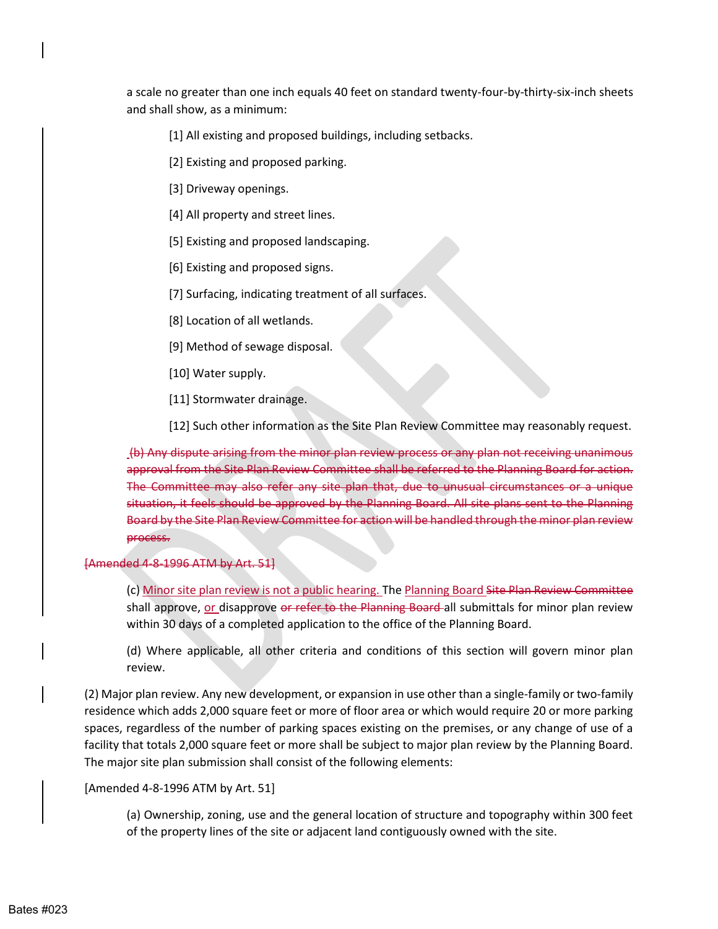a scale no greater than one inch equals 40 feet on standard twenty-four-by-thirty-six-inch sheets and shall show, as a minimum:

[1] All existing and proposed buildings, including setbacks.

[2] Existing and proposed parking.

[3] Driveway openings.

[4] All property and street lines.

[5] Existing and proposed landscaping.

[6] Existing and proposed signs.

[7] Surfacing, indicating treatment of all surfaces.

[8] Location of all wetlands.

[9] Method of sewage disposal.

[10] Water supply.

[11] Stormwater drainage.

[12] Such other information as the Site Plan Review Committee may reasonably request.

 (b) Any dispute arising from the minor plan review process or any plan not receiving unanimous approval from the Site Plan Review Committee shall be referred to the Planning Board for action. The Committee may also refer any site plan that, due to unusual circumstances or a unique situation, it feels should be approved by the Planning Board. All site plans sent to the Planning Board by the Site Plan Review Committee for action will be handled through the minor plan review process.

## [Amended 4-8-1996 ATM by Art. 51]

(c) Minor site plan review is not a public hearing. The Planning Board Site Plan Review Committee shall approve, <u>or disapprove or refer to the Planning Board</u>-all submittals for minor plan review within 30 days of a completed application to the office of the Planning Board.

 (d) Where applicable, all other criteria and conditions of this section will govern minor plan review.

 (2) Major plan review. Any new development, or expansion in use other than a single-family or two-family spaces, regardless of the number of parking spaces existing on the premises, or any change of use of a residence which adds 2,000 square feet or more of floor area or which would require 20 or more parking facility that totals 2,000 square feet or more shall be subject to major plan review by the Planning Board. The major site plan submission shall consist of the following elements:

[Amended 4-8-1996 ATM by Art. 51]

 (a) Ownership, zoning, use and the general location of structure and topography within 300 feet of the property lines of the site or adjacent land contiguously owned with the site.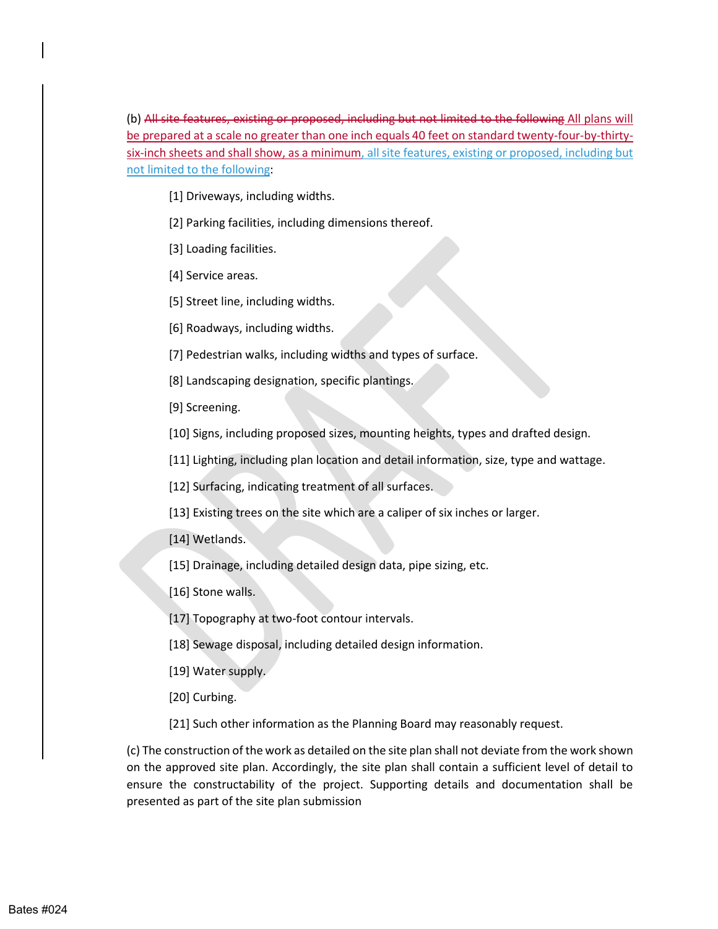be prepared at a scale no greater than one inch equals 40 feet on standard twenty-four-by-thirtysix-inch sheets and shall show, as a minimum, all site features, existing or proposed, including but (b) All site features, existing or proposed, including but not limited to the following All plans will not limited to the following:

- [1] Driveways, including widths.
- [2] Parking facilities, including dimensions thereof.
- [3] Loading facilities.
- [4] Service areas.
- [5] Street line, including widths.
- [6] Roadways, including widths.
- [7] Pedestrian walks, including widths and types of surface.
- [8] Landscaping designation, specific plantings.
- [9] Screening.
- [10] Signs, including proposed sizes, mounting heights, types and drafted design.
- [11] Lighting, including plan location and detail information, size, type and wattage.
- [12] Surfacing, indicating treatment of all surfaces.
- [13] Existing trees on the site which are a caliper of six inches or larger.
- [14] Wetlands.
- [15] Drainage, including detailed design data, pipe sizing, etc.
- [16] Stone walls.
- [17] Topography at two-foot contour intervals.
- [18] Sewage disposal, including detailed design information.
- [19] Water supply.
- [20] Curbing.
- [21] Such other information as the Planning Board may reasonably request.

 (c) The construction of the work as detailed on the site plan shall not deviate from the work shown on the approved site plan. Accordingly, the site plan shall contain a sufficient level of detail to ensure the constructability of the project. Supporting details and documentation shall be presented as part of the site plan submission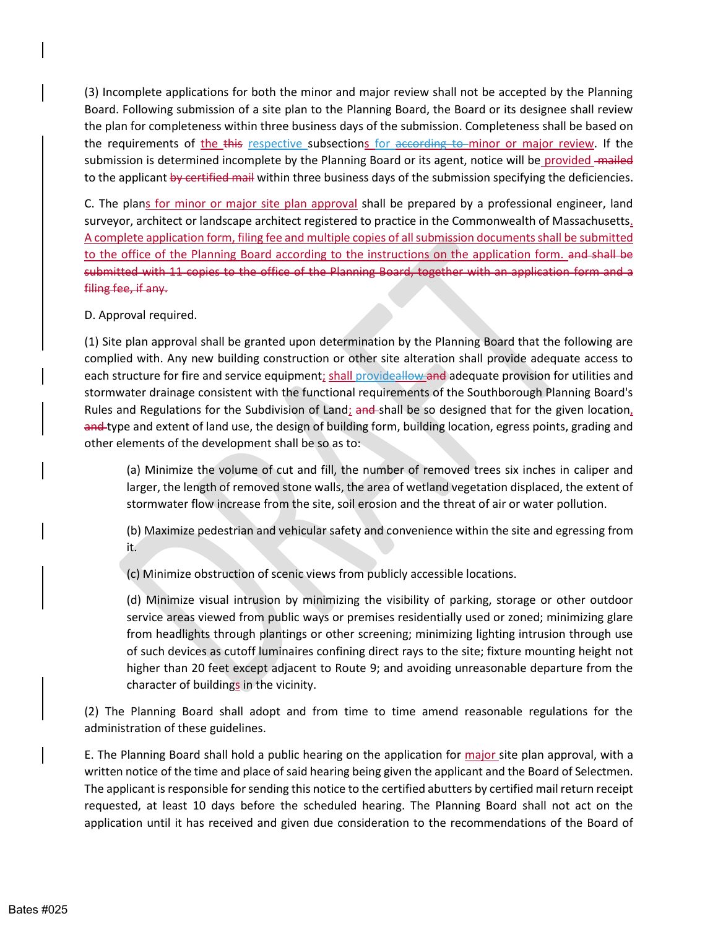(3) Incomplete applications for both the minor and major review shall not be accepted by the Planning Board. Following submission of a site plan to the Planning Board, the Board or its designee shall review the requirements of <u>the this respective s</u>ubsection<u>s for according to minor or major review</u>. If the submission is determined incomplete by the Planning Board or its agent, notice will be *provided* - mailed to the applicant <del>by certified mail</del> within three business days of the submission specifying the deficiencies. the plan for completeness within three business days of the submission. Completeness shall be based on

surveyor, architect or landscape architect registered to practice in the Commonwealth of Massachusetts. A complete application form, filing fee and multiple copies of all submission documents shall be submitted to the office of the Planning Board according to the instructions on the application form. and shall be submitted with 11 copies to the office of the Planning Board, together with an application form and a C. The plans for minor or major site plan approval shall be prepared by a professional engineer, land filing fee, if any.

D. Approval required.

 (1) Site plan approval shall be granted upon determination by the Planning Board that the following are complied with. Any new building construction or other site alteration shall provide adequate access to stormwater drainage consistent with the functional requirements of the Southborough Planning Board's Rules and Regulations for the Subdivision of Land; and shall be so designed that for the given location, and type and extent of land use, the design of building form, building location, egress points, grading and each structure for fire and service equipment; shall provideallow and adequate provision for utilities and other elements of the development shall be so as to:

 larger, the length of removed stone walls, the area of wetland vegetation displaced, the extent of (a) Minimize the volume of cut and fill, the number of removed trees six inches in caliper and stormwater flow increase from the site, soil erosion and the threat of air or water pollution.

 (b) Maximize pedestrian and vehicular safety and convenience within the site and egressing from it.

(c) Minimize obstruction of scenic views from publicly accessible locations.

 (d) Minimize visual intrusion by minimizing the visibility of parking, storage or other outdoor service areas viewed from public ways or premises residentially used or zoned; minimizing glare from headlights through plantings or other screening; minimizing lighting intrusion through use of such devices as cutoff luminaires confining direct rays to the site; fixture mounting height not higher than 20 feet except adjacent to Route 9; and avoiding unreasonable departure from the character of buildings in the vicinity.

 (2) The Planning Board shall adopt and from time to time amend reasonable regulations for the administration of these guidelines.

E. The Planning Board shall hold a public hearing on the application for *major* site plan approval, with a written notice of the time and place of said hearing being given the applicant and the Board of Selectmen. The applicant is responsible for sending this notice to the certified abutters by certified mail return receipt requested, at least 10 days before the scheduled hearing. The Planning Board shall not act on the application until it has received and given due consideration to the recommendations of the Board of